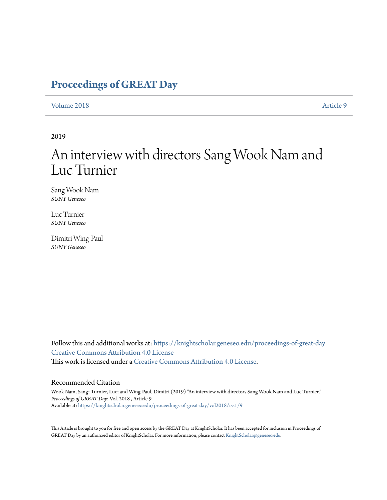# **[Proceedings of GREAT Day](https://knightscholar.geneseo.edu/proceedings-of-great-day?utm_source=knightscholar.geneseo.edu%2Fproceedings-of-great-day%2Fvol2018%2Fiss1%2F9&utm_medium=PDF&utm_campaign=PDFCoverPages)**

#### [Volume 2018](https://knightscholar.geneseo.edu/proceedings-of-great-day/vol2018?utm_source=knightscholar.geneseo.edu%2Fproceedings-of-great-day%2Fvol2018%2Fiss1%2F9&utm_medium=PDF&utm_campaign=PDFCoverPages) [Article 9](https://knightscholar.geneseo.edu/proceedings-of-great-day/vol2018/iss1/9?utm_source=knightscholar.geneseo.edu%2Fproceedings-of-great-day%2Fvol2018%2Fiss1%2F9&utm_medium=PDF&utm_campaign=PDFCoverPages)

#### 2019

# An interview with directors Sang Wook Nam and Luc Turnier

Sang Wook Nam *SUNY Geneseo*

Luc Turnier *SUNY Geneseo*

Dimitri Wing-Paul *SUNY Geneseo*

Follow this and additional works at: [https://knightscholar.geneseo.edu/proceedings-of-great-day](https://knightscholar.geneseo.edu/proceedings-of-great-day?utm_source=knightscholar.geneseo.edu%2Fproceedings-of-great-day%2Fvol2018%2Fiss1%2F9&utm_medium=PDF&utm_campaign=PDFCoverPages) [Creative Commons Attribution 4.0 License](http://creativecommons.org/licenses/by/4.0/) This work is licensed under a [Creative Commons Attribution 4.0 License.](http://creativecommons.org/licenses/by/4.0/)

#### Recommended Citation

Wook Nam, Sang; Turnier, Luc; and Wing-Paul, Dimitri (2019) "An interview with directors Sang Wook Nam and Luc Turnier," *Proceedings of GREAT Day*: Vol. 2018 , Article 9. Available at: [https://knightscholar.geneseo.edu/proceedings-of-great-day/vol2018/iss1/9](https://knightscholar.geneseo.edu/proceedings-of-great-day/vol2018/iss1/9?utm_source=knightscholar.geneseo.edu%2Fproceedings-of-great-day%2Fvol2018%2Fiss1%2F9&utm_medium=PDF&utm_campaign=PDFCoverPages)

This Article is brought to you for free and open access by the GREAT Day at KnightScholar. It has been accepted for inclusion in Proceedings of GREAT Day by an authorized editor of KnightScholar. For more information, please contact [KnightScholar@geneseo.edu.](mailto:KnightScholar@geneseo.edu)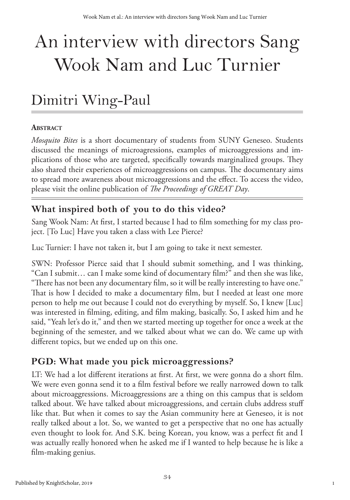# An interview with directors Sang Wook Nam and Luc Turnier

# Dimitri Wing-Paul

#### **Abstract**

*Mosquito Bites* is a short documentary of students from SUNY Geneseo. Students discussed the meanings of microagressions, examples of microaggressions and implications of those who are targeted, specifically towards marginalized groups. They also shared their experiences of microaggressions on campus. The documentary aims to spread more awareness about microaggressions and the effect. To access the video, please visit the online publication of *The Proceedings of GREAT Day*.

## **What inspired both of you to do this video?**

Sang Wook Nam: At first, I started because I had to film something for my class project. [To Luc] Have you taken a class with Lee Pierce?

Luc Turnier: I have not taken it, but I am going to take it next semester.

SWN: Professor Pierce said that I should submit something, and I was thinking, "Can I submit… can I make some kind of documentary film?" and then she was like, "There has not been any documentary film, so it will be really interesting to have one." That is how I decided to make a documentary film, but I needed at least one more person to help me out because I could not do everything by myself. So, I knew [Luc] was interested in filming, editing, and film making, basically. So, I asked him and he said, "Yeah let's do it," and then we started meeting up together for once a week at the beginning of the semester, and we talked about what we can do. We came up with different topics, but we ended up on this one.

## **PGD: What made you pick microaggressions?**

LT: We had a lot different iterations at first. At first, we were gonna do a short film. We were even gonna send it to a film festival before we really narrowed down to talk about microaggressions. Microaggressions are a thing on this campus that is seldom talked about. We have talked about microaggressions, and certain clubs address stuff like that. But when it comes to say the Asian community here at Geneseo, it is not really talked about a lot. So, we wanted to get a perspective that no one has actually even thought to look for. And S.K. being Korean, you know, was a perfect fit and I was actually really honored when he asked me if I wanted to help because he is like a film-making genius.

1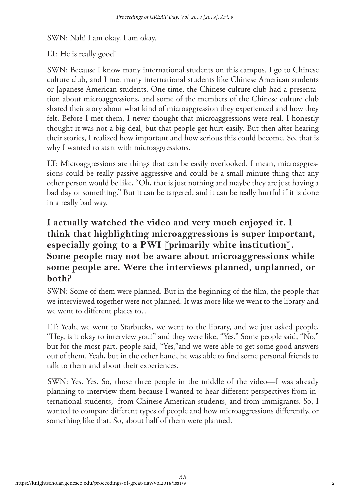SWN: Nah! I am okay. I am okay.

#### LT: He is really good!

SWN: Because I know many international students on this campus. I go to Chinese culture club, and I met many international students like Chinese American students or Japanese American students. One time, the Chinese culture club had a presentation about microaggressions, and some of the members of the Chinese culture club shared their story about what kind of microaggression they experienced and how they felt. Before I met them, I never thought that microaggressions were real. I honestly thought it was not a big deal, but that people get hurt easily. But then after hearing their stories, I realized how important and how serious this could become. So, that is why I wanted to start with microaggressions.

LT: Microaggressions are things that can be easily overlooked. I mean, microaggressions could be really passive aggressive and could be a small minute thing that any other person would be like, "Oh, that is just nothing and maybe they are just having a bad day or something." But it can be targeted, and it can be really hurtful if it is done in a really bad way.

#### **I actually watched the video and very much enjoyed it. I think that highlighting microaggressions is super important, especially going to a PWI [primarily white institution]. Some people may not be aware about microaggressions while some people are. Were the interviews planned, unplanned, or both?**

SWN: Some of them were planned. But in the beginning of the film, the people that we interviewed together were not planned. It was more like we went to the library and we went to different places to…

LT: Yeah, we went to Starbucks, we went to the library, and we just asked people, "Hey, is it okay to interview you?" and they were like, "Yes." Some people said, "No," but for the most part, people said, "Yes,"and we were able to get some good answers out of them. Yeah, but in the other hand, he was able to find some personal friends to talk to them and about their experiences.

SWN: Yes. Yes. So, those three people in the middle of the video—I was already planning to interview them because I wanted to hear different perspectives from international students, from Chinese American students, and from immigrants. So, I wanted to compare different types of people and how microaggressions differently, or something like that. So, about half of them were planned.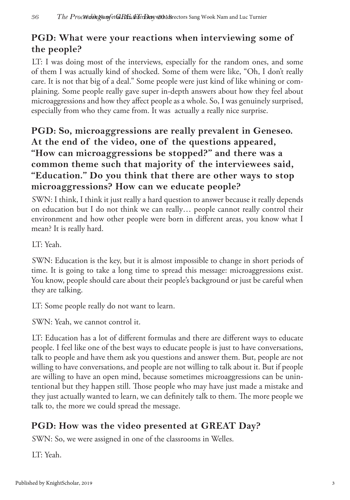# **PGD: What were your reactions when interviewing some of the people?**

LT: I was doing most of the interviews, especially for the random ones, and some of them I was actually kind of shocked. Some of them were like, "Oh, I don't really care. It is not that big of a deal." Some people were just kind of like whining or complaining. Some people really gave super in-depth answers about how they feel about microaggressions and how they affect people as a whole. So, I was genuinely surprised, especially from who they came from. It was actually a really nice surprise.

## **PGD: So, microaggressions are really prevalent in Geneseo. At the end of the video, one of the questions appeared, "How can microaggressions be stopped?" and there was a common theme such that majority of the interviewees said, "Education." Do you think that there are other ways to stop microaggressions? How can we educate people?**

SWN: I think, I think it just really a hard question to answer because it really depends on education but I do not think we can really… people cannot really control their environment and how other people were born in different areas, you know what I mean? It is really hard.

LT: Yeah.

SWN: Education is the key, but it is almost impossible to change in short periods of time. It is going to take a long time to spread this message: microaggressions exist. You know, people should care about their people's background or just be careful when they are talking.

LT: Some people really do not want to learn.

SWN: Yeah, we cannot control it.

LT: Education has a lot of different formulas and there are different ways to educate people. I feel like one of the best ways to educate people is just to have conversations, talk to people and have them ask you questions and answer them. But, people are not willing to have conversations, and people are not willing to talk about it. But if people are willing to have an open mind, because sometimes microaggressions can be unintentional but they happen still. Those people who may have just made a mistake and they just actually wanted to learn, we can definitely talk to them. The more people we talk to, the more we could spread the message.

## **PGD: How was the video presented at GREAT Day?**

SWN: So, we were assigned in one of the classrooms in Welles.

LT: Yeah.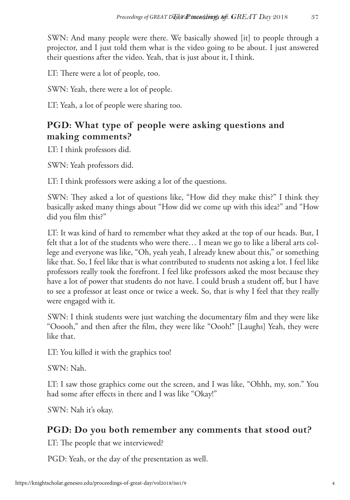SWN: And many people were there. We basically showed [it] to people through a projector, and I just told them what is the video going to be about. I just answered their questions after the video. Yeah, that is just about it, I think.

LT: There were a lot of people, too.

SWN: Yeah, there were a lot of people.

LT: Yeah, a lot of people were sharing too.

#### **PGD: What type of people were asking questions and making comments?**

LT: I think professors did.

SWN: Yeah professors did.

LT: I think professors were asking a lot of the questions.

SWN: They asked a lot of questions like, "How did they make this?" I think they basically asked many things about "How did we come up with this idea?" and "How did you film this?"

LT: It was kind of hard to remember what they asked at the top of our heads. But, I felt that a lot of the students who were there… I mean we go to like a liberal arts college and everyone was like, "Oh, yeah yeah, I already knew about this," or something like that. So, I feel like that is what contributed to students not asking a lot. I feel like professors really took the forefront. I feel like professors asked the most because they have a lot of power that students do not have. I could brush a student off, but I have to see a professor at least once or twice a week. So, that is why I feel that they really were engaged with it.

SWN: I think students were just watching the documentary film and they were like "Ooooh," and then after the film, they were like "Oooh!" [Laughs] Yeah, they were like that.

LT: You killed it with the graphics too!

SWN: Nah.

LT: I saw those graphics come out the screen, and I was like, "Ohhh, my, son." You had some after effects in there and I was like "Okay!"

SWN: Nah it's okay.

#### **PGD: Do you both remember any comments that stood out?**

LT: The people that we interviewed?

PGD: Yeah, or the day of the presentation as well.